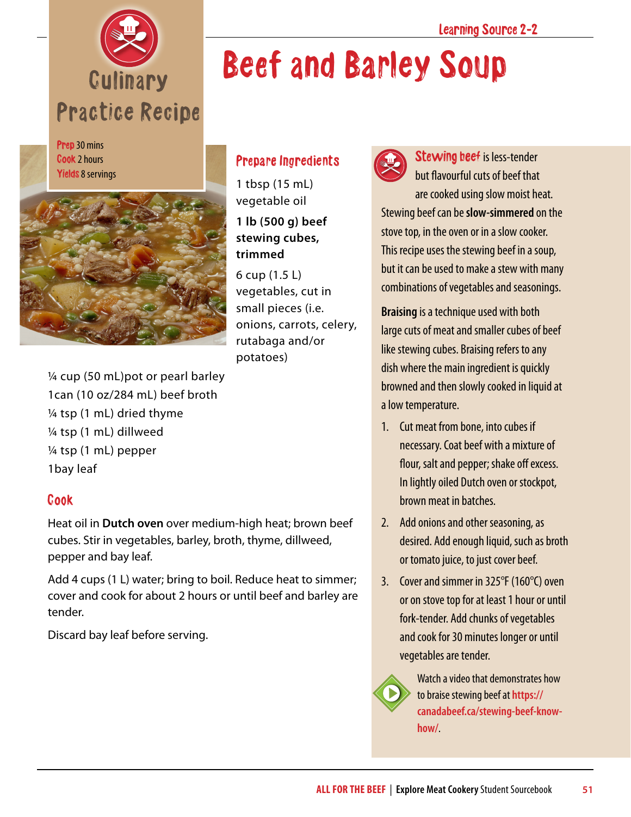

Prep 30 mins Cook 2 hours Yields 8 servings



## Prepare Ingredients

1 tbsp (15 mL) vegetable oil **1 lb (500 g) beef stewing cubes, trimmed**

6 cup (1.5 L) vegetables, cut in small pieces (i.e. onions, carrots, celery, rutabaga and/or potatoes)

¼ cup (50 mL)pot or pearl barley 1can (10 oz/284 mL) beef broth ¼ tsp (1 mL) dried thyme ¼ tsp (1 mL) dillweed ¼ tsp (1 mL) pepper 1bay leaf

## Cook

Heat oil in **Dutch oven** over medium-high heat; brown beef cubes. Stir in vegetables, barley, broth, thyme, dillweed, pepper and bay leaf.

Add 4 cups (1 L) water; bring to boil. Reduce heat to simmer; cover and cook for about 2 hours or until beef and barley are tender.

Discard bay leaf before serving.



Beef and Barley Soup

Stewing beef is less-tender but flavourful cuts of beef that are cooked using slow moist heat. Stewing beef can be **slow-simmered** on the stove top, in the oven or in a slow cooker. This recipe uses the stewing beef in a soup, but it can be used to make a stew with many combinations of vegetables and seasonings.

**Braising** is a technique used with both large cuts of meat and smaller cubes of beef like stewing cubes. Braising refers to any dish where the main ingredient is quickly browned and then slowly cooked in liquid at a low temperature.

- 1. Cut meat from bone, into cubes if necessary. Coat beef with a mixture of flour, salt and pepper; shake off excess. In lightly oiled Dutch oven or stockpot, brown meat in batches.
- 2. Add onions and other seasoning, as desired. Add enough liquid, such as broth or tomato juice, to just cover beef.
- 3. Cover and simmer in 325°F (160°C) oven or on stove top for at least 1 hour or until fork-tender. Add chunks of vegetables and cook for 30 minutes longer or until vegetables are tender.



Watch a video that demonstrates how to braise stewing beef at **[https://](https://canadabeef.ca/stewing-beef-know-how/) [canadabeef.ca/stewing-beef-know](https://canadabeef.ca/stewing-beef-know-how/)[how/](https://canadabeef.ca/stewing-beef-know-how/)**.